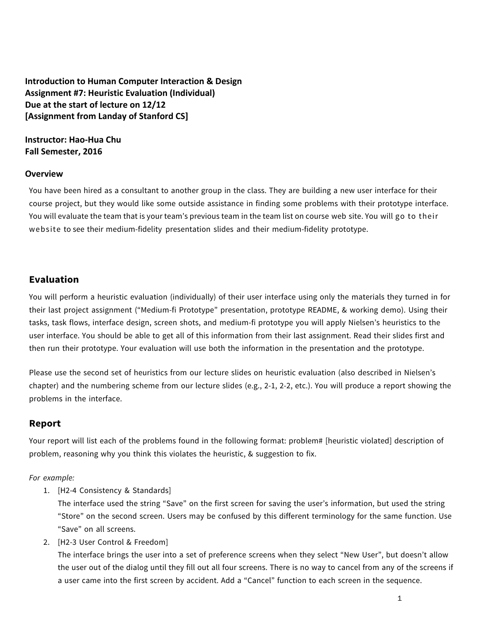**Introduction to Human Computer Interaction & Design** Assignment #7: Heuristic Evaluation (Individual) **Due** at the start of lecture on 12/12 **[Assignment from Landay of Stanford CS]** 

### **Instructor: Hao-Hua Chu Fall** Semester, 2016

#### **Overview**

You have been hired as a consultant to another group in the class. They are building a new user interface for their course project, but they would like some outside assistance in finding some problems with their prototype interface. You will evaluate the team that is your team's previous team in the team list on course web site. You will go to their website to see their medium-fidelity presentation slides and their medium-fidelity prototype.

### **Evaluation**

You will perform a heuristic evaluation (individually) of their user interface using only the materials they turned in for their last project assignment ("Medium-fi Prototype" presentation, prototype README, & working demo). Using their tasks, task flows, interface design, screen shots, and medium-fi prototype you will apply Nielsen's heuristics to the user interface. You should be able to get all of this information from their last assignment. Read their slides first and then run their prototype. Your evaluation will use both the information in the presentation and the prototype.

Please use the second set of heuristics from our lecture slides on heuristic evaluation (also described in Nielsen's chapter) and the numbering scheme from our lecture slides (e.g., 2-1, 2-2, etc.). You will produce a report showing the problems in the interface.

### **Report**

Your report will list each of the problems found in the following format: problem# [heuristic violated] description of problem, reasoning why you think this violates the heuristic, & suggestion to fix.

*For example:*

1. [H2-4 Consistency & Standards]

The interface used the string "Save" on the first screen for saving the user's information, but used the string "Store" on the second screen. Users may be confused by this different terminology for the same function. Use "Save" on all screens.

2. [H2-3 User Control & Freedom]

The interface brings the user into a set of preference screens when they select "New User", but doesn't allow the user out of the dialog until they fill out all four screens. There is no way to cancel from any of the screens if a user came into the first screen by accident. Add a "Cancel" function to each screen in the sequence.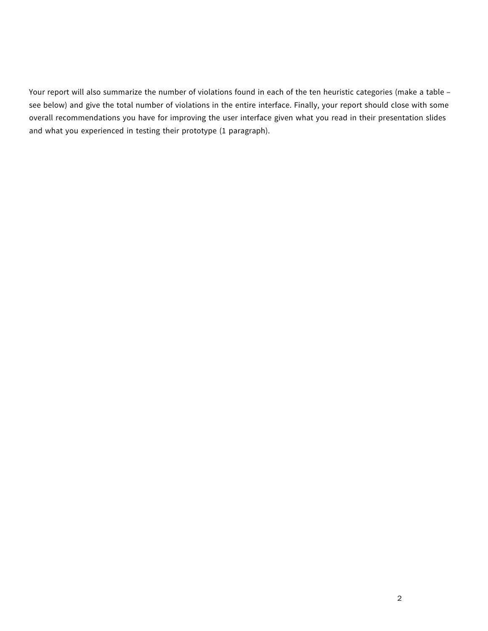Your report will also summarize the number of violations found in each of the ten heuristic categories (make a table see below) and give the total number of violations in the entire interface. Finally, your report should close with some overall recommendations you have for improving the user interface given what you read in their presentation slides and what you experienced in testing their prototype (1 paragraph).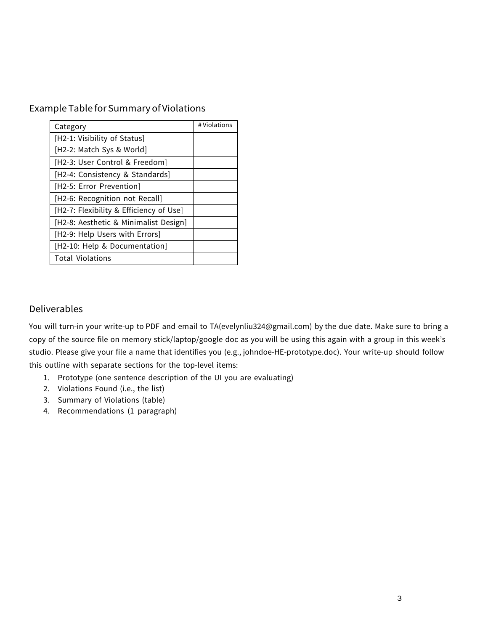# Example Table for Summary of Violations

| Category                                | # Violations |
|-----------------------------------------|--------------|
| [H2-1: Visibility of Status]            |              |
| [H2-2: Match Sys & World]               |              |
| [H2-3: User Control & Freedom]          |              |
| [H2-4: Consistency & Standards]         |              |
| [H2-5: Error Prevention]                |              |
| [H2-6: Recognition not Recall]          |              |
| [H2-7: Flexibility & Efficiency of Use] |              |
| [H2-8: Aesthetic & Minimalist Design]   |              |
| [H2-9: Help Users with Errors]          |              |
| [H2-10: Help & Documentation]           |              |
| <b>Total Violations</b>                 |              |

# Deliverables

You will turn-in your write-up to PDF and email to TA(evelynliu324@gmail.com) by the due date. Make sure to bring a copy of the source file on memory stick/laptop/google doc as you will be using this again with a group in this week's studio. Please give your file a name that identifies you (e.g., johndoe-HE-prototype.doc). Your write-up should follow this outline with separate sections for the top-level items:

- 1. Prototype (one sentence description of the UI you are evaluating)
- 2. Violations Found (i.e., the list)
- 3. Summary of Violations (table)
- 4. Recommendations (1 paragraph)